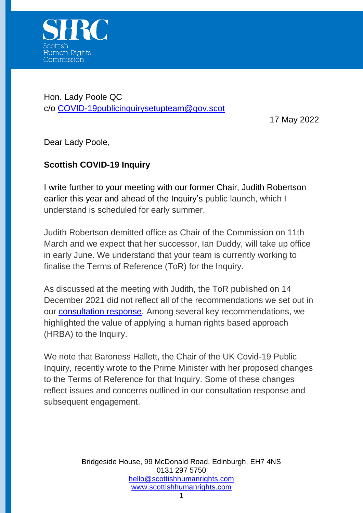

Hon. Lady Poole QC c/o [COVID-19publicinquirysetupteam@gov.scot](mailto:COVID-19publicinquirysetupteam@gov.scot)

17 May 2022

Dear Lady Poole,

## **Scottish COVID-19 Inquiry**

I write further to your meeting with our former Chair, Judith Robertson earlier this year and ahead of the Inquiry's public launch, which I understand is scheduled for early summer.

Judith Robertson demitted office as Chair of the Commission on 11th March and we expect that her successor, Ian Duddy, will take up office in early June. We understand that your team is currently working to finalise the Terms of Reference (ToR) for the Inquiry.

As discussed at the meeting with Judith, the ToR published on 14 December 2021 did not reflect all of the recommendations we set out in our [consultation response.](https://www.scottishhumanrights.com/media/2229/reponse-covid-public-inquiry-consultation-final-300921.pdf) Among several key recommendations, we highlighted the value of applying a human rights based approach (HRBA) to the Inquiry.

We note that Baroness Hallett, the Chair of the UK Covid-19 Public Inquiry, recently wrote to the Prime Minister with her proposed changes to the Terms of Reference for that Inquiry. Some of these changes reflect issues and concerns outlined in our consultation response and subsequent engagement.